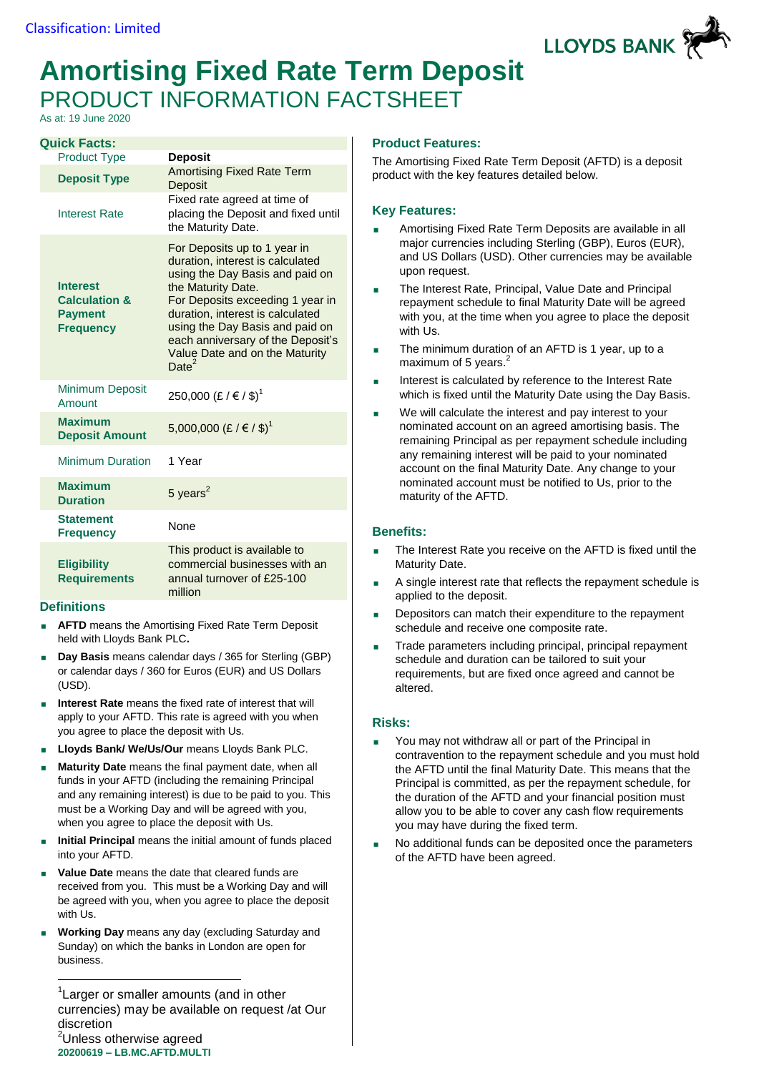

# **Amortising Fixed Rate Term Deposit** PRODUCT INFORMATION FACTSHEET

As at: 19 June 2020

| <b>Quick Facts:</b>                                                               |                                                                                                                                                                                                                                                                                                                          |
|-----------------------------------------------------------------------------------|--------------------------------------------------------------------------------------------------------------------------------------------------------------------------------------------------------------------------------------------------------------------------------------------------------------------------|
| <b>Product Type</b>                                                               | <b>Deposit</b>                                                                                                                                                                                                                                                                                                           |
| <b>Deposit Type</b><br><b>Interest Rate</b>                                       | <b>Amortising Fixed Rate Term</b><br>Deposit<br>Fixed rate agreed at time of<br>placing the Deposit and fixed until                                                                                                                                                                                                      |
|                                                                                   | the Maturity Date.                                                                                                                                                                                                                                                                                                       |
| <b>Interest</b><br><b>Calculation &amp;</b><br><b>Payment</b><br><b>Frequency</b> | For Deposits up to 1 year in<br>duration, interest is calculated<br>using the Day Basis and paid on<br>the Maturity Date.<br>For Deposits exceeding 1 year in<br>duration, interest is calculated<br>using the Day Basis and paid on<br>each anniversary of the Deposit's<br>Value Date and on the Maturity<br>Date $^2$ |
| <b>Minimum Deposit</b><br>Amount                                                  | 250,000 (£ / € / \$) <sup>1</sup>                                                                                                                                                                                                                                                                                        |
| <b>Maximum</b><br><b>Deposit Amount</b>                                           | 5,000,000 (£ / € / \$) <sup>1</sup>                                                                                                                                                                                                                                                                                      |
| <b>Minimum Duration</b>                                                           | 1 Year                                                                                                                                                                                                                                                                                                                   |
| <b>Maximum</b><br><b>Duration</b>                                                 | 5 years $^2$                                                                                                                                                                                                                                                                                                             |
| <b>Statement</b><br><b>Frequency</b>                                              | None                                                                                                                                                                                                                                                                                                                     |
| <b>Eligibility</b><br><b>Requirements</b>                                         | This product is available to<br>commercial businesses with an<br>annual turnover of £25-100<br>million                                                                                                                                                                                                                   |

## **Definitions**

1

- **AFTD** means the Amortising Fixed Rate Term Deposit held with Lloyds Bank PLC**.**
- **Day Basis** means calendar days / 365 for Sterling (GBP) or calendar days / 360 for Euros (EUR) and US Dollars (USD).
- **Interest Rate** means the fixed rate of interest that will apply to your AFTD. This rate is agreed with you when you agree to place the deposit with Us.
- **Lloyds Bank/ We/Us/Our** means Lloyds Bank PLC.
- **Maturity Date** means the final payment date, when all funds in your AFTD (including the remaining Principal and any remaining interest) is due to be paid to you. This must be a Working Day and will be agreed with you, when you agree to place the deposit with Us.
- **Initial Principal** means the initial amount of funds placed into your AFTD.
- **Value Date** means the date that cleared funds are received from you. This must be a Working Day and will be agreed with you, when you agree to place the deposit with Us.
- **Working Day** means any day (excluding Saturday and Sunday) on which the banks in London are open for business.

**20200619 – LB.MC.AFTD.MULTI**

## **Product Features:**

The Amortising Fixed Rate Term Deposit (AFTD) is a deposit product with the key features detailed below.

## **Key Features:**

- Amortising Fixed Rate Term Deposits are available in all major currencies including Sterling (GBP), Euros (EUR), and US Dollars (USD). Other currencies may be available upon request.
- The Interest Rate, Principal, Value Date and Principal repayment schedule to final Maturity Date will be agreed with you, at the time when you agree to place the deposit with Us.
- The minimum duration of an AFTD is 1 year, up to a maximum of 5 years.<sup>2</sup>
- Interest is calculated by reference to the Interest Rate which is fixed until the Maturity Date using the Day Basis.
- We will calculate the interest and pay interest to your nominated account on an agreed amortising basis. The remaining Principal as per repayment schedule including any remaining interest will be paid to your nominated account on the final Maturity Date. Any change to your nominated account must be notified to Us, prior to the maturity of the AFTD.

## **Benefits:**

- The Interest Rate you receive on the AFTD is fixed until the Maturity Date.
- A single interest rate that reflects the repayment schedule is applied to the deposit.
- Depositors can match their expenditure to the repayment schedule and receive one composite rate.
- Trade parameters including principal, principal repayment schedule and duration can be tailored to suit your requirements, but are fixed once agreed and cannot be altered.

## **Risks:**

- You may not withdraw all or part of the Principal in contravention to the repayment schedule and you must hold the AFTD until the final Maturity Date. This means that the Principal is committed, as per the repayment schedule, for the duration of the AFTD and your financial position must allow you to be able to cover any cash flow requirements you may have during the fixed term.
- No additional funds can be deposited once the parameters of the AFTD have been agreed.

<sup>&</sup>lt;sup>1</sup> Larger or smaller amounts (and in other currencies) may be available on request /at Our discretion <sup>2</sup>Unless otherwise agreed